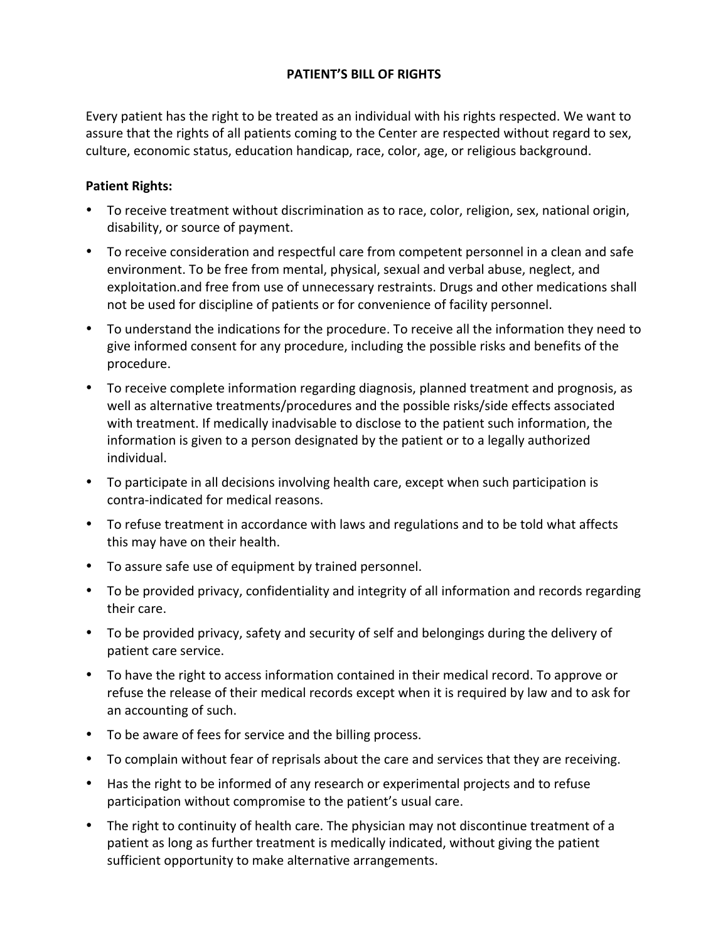## **PATIENT'S BILL OF RIGHTS**

Every patient has the right to be treated as an individual with his rights respected. We want to assure that the rights of all patients coming to the Center are respected without regard to sex, culture, economic status, education handicap, race, color, age, or religious background.

## **Patient Rights:**

- To receive treatment without discrimination as to race, color, religion, sex, national origin, disability, or source of payment.
- To receive consideration and respectful care from competent personnel in a clean and safe environment. To be free from mental, physical, sexual and verbal abuse, neglect, and exploitation.and free from use of unnecessary restraints. Drugs and other medications shall not be used for discipline of patients or for convenience of facility personnel.
- To understand the indications for the procedure. To receive all the information they need to give informed consent for any procedure, including the possible risks and benefits of the procedure.
- To receive complete information regarding diagnosis, planned treatment and prognosis, as well as alternative treatments/procedures and the possible risks/side effects associated with treatment. If medically inadvisable to disclose to the patient such information, the information is given to a person designated by the patient or to a legally authorized individual.
- To participate in all decisions involving health care, except when such participation is contra-indicated for medical reasons.
- To refuse treatment in accordance with laws and regulations and to be told what affects this may have on their health.
- To assure safe use of equipment by trained personnel.
- To be provided privacy, confidentiality and integrity of all information and records regarding their care.
- To be provided privacy, safety and security of self and belongings during the delivery of patient care service.
- To have the right to access information contained in their medical record. To approve or refuse the release of their medical records except when it is required by law and to ask for an accounting of such.
- To be aware of fees for service and the billing process.
- To complain without fear of reprisals about the care and services that they are receiving.
- Has the right to be informed of any research or experimental projects and to refuse participation without compromise to the patient's usual care.
- The right to continuity of health care. The physician may not discontinue treatment of a patient as long as further treatment is medically indicated, without giving the patient sufficient opportunity to make alternative arrangements.